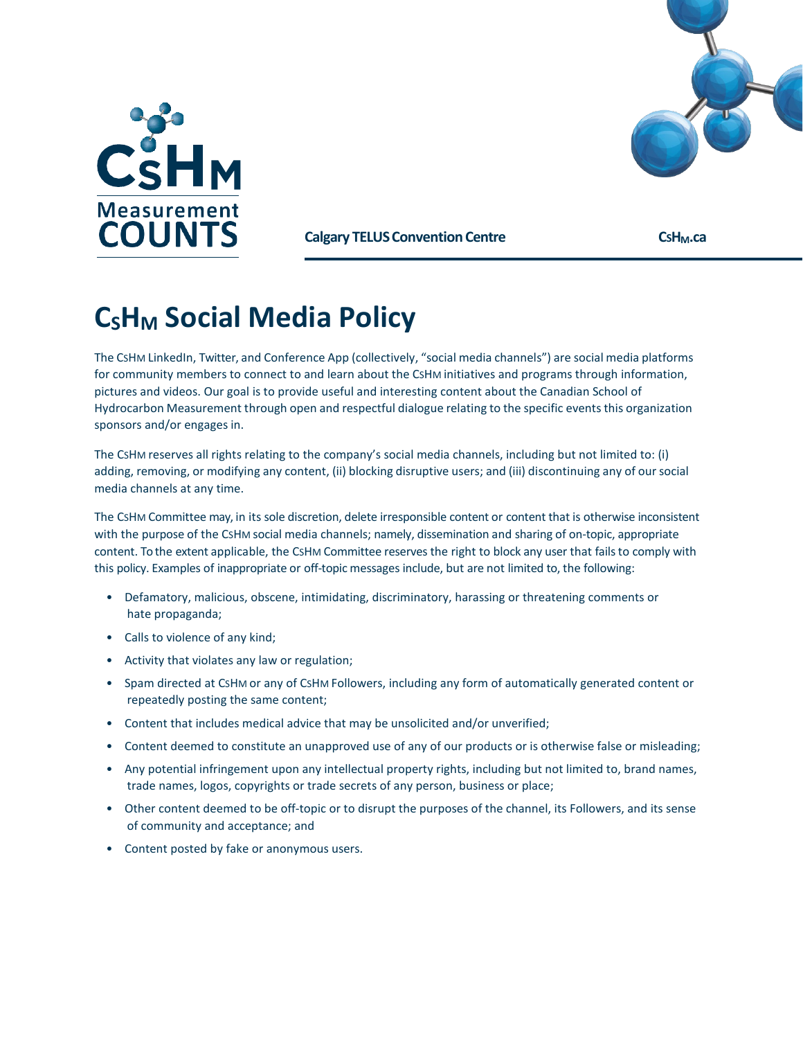



**Calgary TELUS Convention Centre <b>CGHM.ca** CSH<sub>M</sub>.ca

## **C<sub>S</sub>H<sub>M</sub>** Social Media Policy

The CSHM LinkedIn, Twitter, and Conference App (collectively, "social media channels") are social media platforms for community members to connect to and learn about the CSHM initiatives and programs through information, pictures and videos. Our goal is to provide useful and interesting content about the Canadian School of Hydrocarbon Measurement through open and respectful dialogue relating to the specific eventsthis organization sponsors and/or engages in.

The CSHM reserves all rights relating to the company's social media channels, including but not limited to: (i) adding, removing, or modifying any content, (ii) blocking disruptive users; and (iii) discontinuing any of oursocial media channels at any time.

The CSHM Committee may, in its sole discretion, delete irresponsible content or content that is otherwise inconsistent with the purpose of the CSHM social media channels; namely, dissemination and sharing of on-topic, appropriate content. To the extent applicable, the CSHM Committee reserves the right to block any user that fails to comply with this policy. Examples of inappropriate or off-topic messages include, but are not limited to, the following:

- Defamatory, malicious, obscene, intimidating, discriminatory, harassing or threatening comments or hate propaganda;
- Calls to violence of any kind;
- Activity that violates any law or regulation;
- Spam directed at CSHM or any of CSHM Followers, including any form of automatically generated content or repeatedly posting the same content;
- Content that includes medical advice that may be unsolicited and/or unverified;
- Content deemed to constitute an unapproved use of any of our products or is otherwise false or misleading;
- Any potential infringement upon any intellectual property rights, including but not limited to, brand names, trade names, logos, copyrights or trade secrets of any person, business or place;
- Other content deemed to be off-topic or to disrupt the purposes of the channel, its Followers, and its sense of community and acceptance; and
- Content posted by fake or anonymous users.